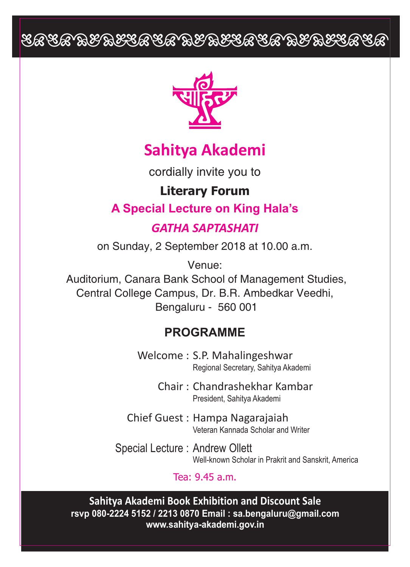# EEEE BEBEEEE BEBEEEEE BEBEEEEE



## **Sahitya Akademi**

cordially invite you to

### **Literary Forum**

## **A Special Lecture on King Hala's**

### *GATHA SAPTASHATI*

on Sunday, 2 September 2018 at 10.00 a.m.

Venue: Auditorium, Canara Bank School of Management Studies, Central College Campus, Dr. B.R. Ambedkar Veedhi, Bengaluru - 560 001

## **PROGRAMME**

Welcome : S.P. Mahalingeshwar Regional Secretary, Sahitya Akademi

> Chair : Chandrashekhar Kambar President, Sahitya Akademi

Chief Guest : Hampa Nagarajaiah Veteran Kannada Scholar and Writer

Special Lecture : Andrew Ollett Well-known Scholar in Prakrit and Sanskrit, America

#### Tea: 9.45 a.m.

**Sahitya Akademi Book Exhibition and Discount Sale rsvp 080-2224 5152 / 2213 0870 Email : sa.bengaluru@gmail.com www.sahitya-akademi.gov.in**